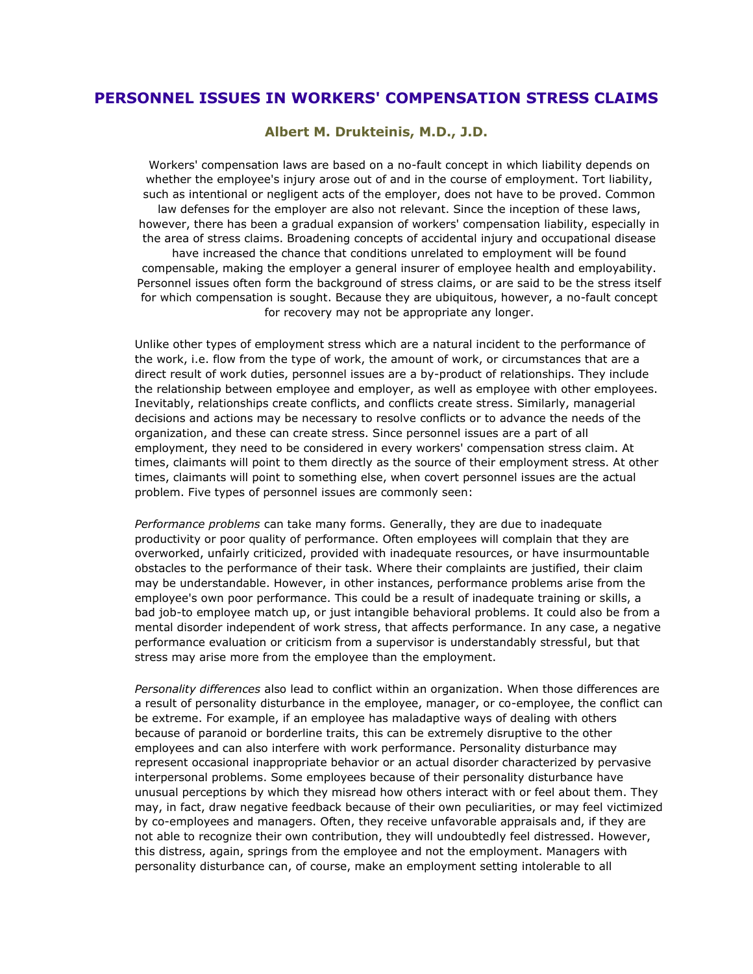## **PERSONNEL ISSUES IN WORKERS' COMPENSATION STRESS CLAIMS**

**Albert M. Drukteinis, M.D., J.D.**

Workers' compensation laws are based on a no-fault concept in which liability depends on whether the employee's injury arose out of and in the course of employment. Tort liability, such as intentional or negligent acts of the employer, does not have to be proved. Common law defenses for the employer are also not relevant. Since the inception of these laws, however, there has been a gradual expansion of workers' compensation liability, especially in the area of stress claims. Broadening concepts of accidental injury and occupational disease have increased the chance that conditions unrelated to employment will be found compensable, making the employer a general insurer of employee health and employability. Personnel issues often form the background of stress claims, or are said to be the stress itself for which compensation is sought. Because they are ubiquitous, however, a no-fault concept for recovery may not be appropriate any longer.

Unlike other types of employment stress which are a natural incident to the performance of the work, i.e. flow from the type of work, the amount of work, or circumstances that are a direct result of work duties, personnel issues are a by-product of relationships. They include the relationship between employee and employer, as well as employee with other employees. Inevitably, relationships create conflicts, and conflicts create stress. Similarly, managerial decisions and actions may be necessary to resolve conflicts or to advance the needs of the organization, and these can create stress. Since personnel issues are a part of all employment, they need to be considered in every workers' compensation stress claim. At times, claimants will point to them directly as the source of their employment stress. At other times, claimants will point to something else, when covert personnel issues are the actual problem. Five types of personnel issues are commonly seen:

*Performance problems* can take many forms. Generally, they are due to inadequate productivity or poor quality of performance. Often employees will complain that they are overworked, unfairly criticized, provided with inadequate resources, or have insurmountable obstacles to the performance of their task. Where their complaints are justified, their claim may be understandable. However, in other instances, performance problems arise from the employee's own poor performance. This could be a result of inadequate training or skills, a bad job-to employee match up, or just intangible behavioral problems. It could also be from a mental disorder independent of work stress, that affects performance. In any case, a negative performance evaluation or criticism from a supervisor is understandably stressful, but that stress may arise more from the employee than the employment.

*Personality differences* also lead to conflict within an organization. When those differences are a result of personality disturbance in the employee, manager, or co-employee, the conflict can be extreme. For example, if an employee has maladaptive ways of dealing with others because of paranoid or borderline traits, this can be extremely disruptive to the other employees and can also interfere with work performance. Personality disturbance may represent occasional inappropriate behavior or an actual disorder characterized by pervasive interpersonal problems. Some employees because of their personality disturbance have unusual perceptions by which they misread how others interact with or feel about them. They may, in fact, draw negative feedback because of their own peculiarities, or may feel victimized by co-employees and managers. Often, they receive unfavorable appraisals and, if they are not able to recognize their own contribution, they will undoubtedly feel distressed. However, this distress, again, springs from the employee and not the employment. Managers with personality disturbance can, of course, make an employment setting intolerable to all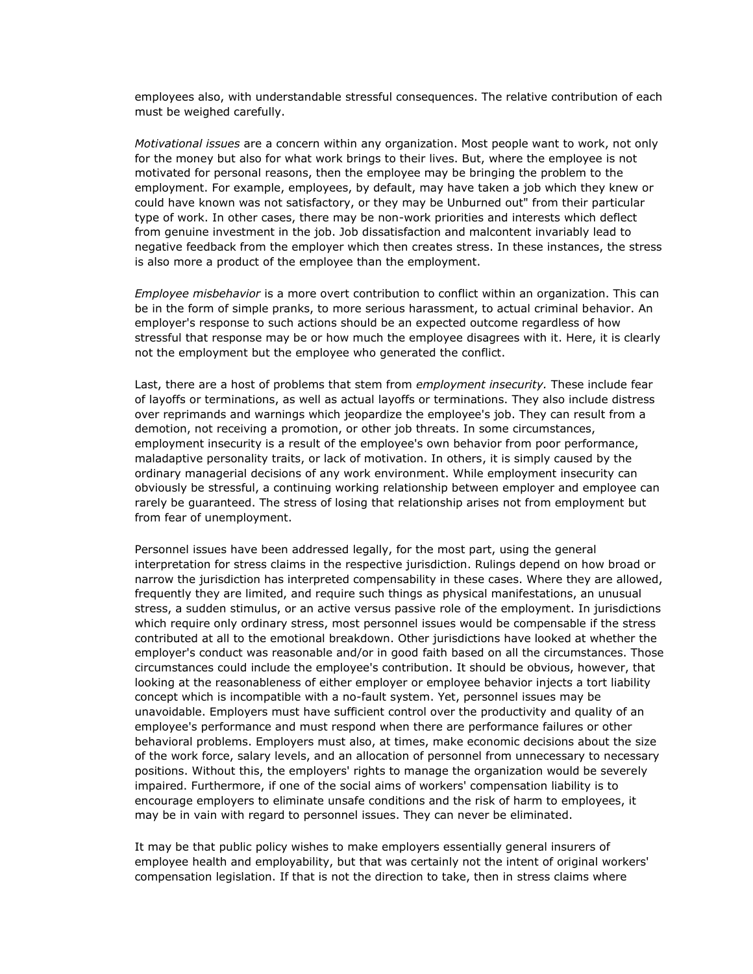employees also, with understandable stressful consequences. The relative contribution of each must be weighed carefully.

*Motivational issues* are a concern within any organization. Most people want to work, not only for the money but also for what work brings to their lives. But, where the employee is not motivated for personal reasons, then the employee may be bringing the problem to the employment. For example, employees, by default, may have taken a job which they knew or could have known was not satisfactory, or they may be Unburned out" from their particular type of work. In other cases, there may be non-work priorities and interests which deflect from genuine investment in the job. Job dissatisfaction and malcontent invariably lead to negative feedback from the employer which then creates stress. In these instances, the stress is also more a product of the employee than the employment.

*Employee misbehavior* is a more overt contribution to conflict within an organization. This can be in the form of simple pranks, to more serious harassment, to actual criminal behavior. An employer's response to such actions should be an expected outcome regardless of how stressful that response may be or how much the employee disagrees with it. Here, it is clearly not the employment but the employee who generated the conflict.

Last, there are a host of problems that stem from *employment insecurity.* These include fear of layoffs or terminations, as well as actual layoffs or terminations. They also include distress over reprimands and warnings which jeopardize the employee's job. They can result from a demotion, not receiving a promotion, or other job threats. In some circumstances, employment insecurity is a result of the employee's own behavior from poor performance, maladaptive personality traits, or lack of motivation. In others, it is simply caused by the ordinary managerial decisions of any work environment. While employment insecurity can obviously be stressful, a continuing working relationship between employer and employee can rarely be guaranteed. The stress of losing that relationship arises not from employment but from fear of unemployment.

Personnel issues have been addressed legally, for the most part, using the general interpretation for stress claims in the respective jurisdiction. Rulings depend on how broad or narrow the jurisdiction has interpreted compensability in these cases. Where they are allowed, frequently they are limited, and require such things as physical manifestations, an unusual stress, a sudden stimulus, or an active versus passive role of the employment. In jurisdictions which require only ordinary stress, most personnel issues would be compensable if the stress contributed at all to the emotional breakdown. Other jurisdictions have looked at whether the employer's conduct was reasonable and/or in good faith based on all the circumstances. Those circumstances could include the employee's contribution. It should be obvious, however, that looking at the reasonableness of either employer or employee behavior injects a tort liability concept which is incompatible with a no-fault system. Yet, personnel issues may be unavoidable. Employers must have sufficient control over the productivity and quality of an employee's performance and must respond when there are performance failures or other behavioral problems. Employers must also, at times, make economic decisions about the size of the work force, salary levels, and an allocation of personnel from unnecessary to necessary positions. Without this, the employers' rights to manage the organization would be severely impaired. Furthermore, if one of the social aims of workers' compensation liability is to encourage employers to eliminate unsafe conditions and the risk of harm to employees, it may be in vain with regard to personnel issues. They can never be eliminated.

It may be that public policy wishes to make employers essentially general insurers of employee health and employability, but that was certainly not the intent of original workers' compensation legislation. If that is not the direction to take, then in stress claims where